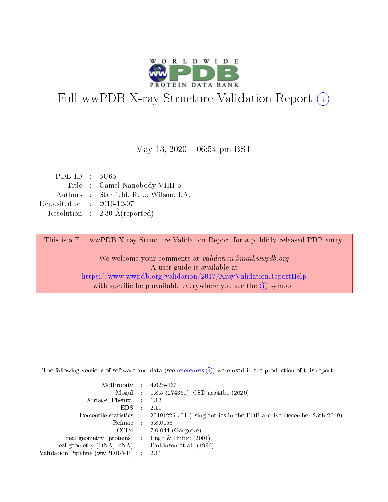

# Full wwPDB X-ray Structure Validation Report (i)

#### May 13,  $2020 - 06:54$  pm BST

| PDB ID : $5U65$             |                                          |
|-----------------------------|------------------------------------------|
|                             | Title : Camel Nanobody VHH-5             |
|                             | Authors : Stanfield, R.L.; Wilson, I.A.  |
| Deposited on : $2016-12-07$ |                                          |
|                             | Resolution : $2.30 \text{ Å}$ (reported) |

This is a Full wwPDB X-ray Structure Validation Report for a publicly released PDB entry.

We welcome your comments at validation@mail.wwpdb.org A user guide is available at <https://www.wwpdb.org/validation/2017/XrayValidationReportHelp> with specific help available everywhere you see the  $(i)$  symbol.

The following versions of software and data (see [references](https://www.wwpdb.org/validation/2017/XrayValidationReportHelp#references)  $(1)$ ) were used in the production of this report:

| $MolProbability$ : 4.02b-467                        |                                                                                            |
|-----------------------------------------------------|--------------------------------------------------------------------------------------------|
|                                                     | Mogul : $1.8.5$ (274361), CSD as 541be (2020)                                              |
| Xtriage (Phenix) $: 1.13$                           |                                                                                            |
| $EDS$ :                                             | -2.11                                                                                      |
|                                                     | Percentile statistics : 20191225.v01 (using entries in the PDB archive December 25th 2019) |
| Refmac : 5.8.0158                                   |                                                                                            |
| CCP4                                                | $7.0.044$ (Gargrove)                                                                       |
| Ideal geometry (proteins) :                         | Engh $\&$ Huber (2001)                                                                     |
| Ideal geometry (DNA, RNA) : Parkinson et al. (1996) |                                                                                            |
| Validation Pipeline (wwPDB-VP) : 2.11               |                                                                                            |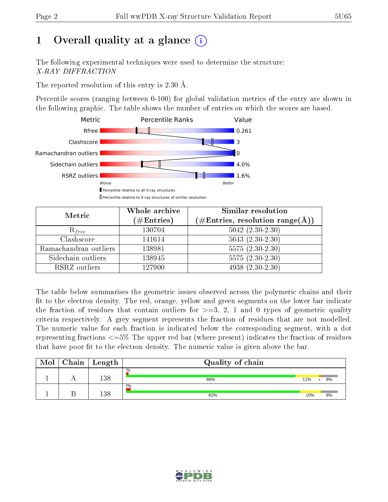# 1 [O](https://www.wwpdb.org/validation/2017/XrayValidationReportHelp#overall_quality)verall quality at a glance  $(i)$

The following experimental techniques were used to determine the structure: X-RAY DIFFRACTION

The reported resolution of this entry is 2.30 Å.

Percentile scores (ranging between 0-100) for global validation metrics of the entry are shown in the following graphic. The table shows the number of entries on which the scores are based.



| Metric                | Whole archive<br>$(\#\text{Entries})$ | Similar resolution<br>$(\#\text{Entries}, \text{resolution range}(\text{\AA}))$ |  |  |
|-----------------------|---------------------------------------|---------------------------------------------------------------------------------|--|--|
| $R_{free}$            | 130704                                | $5042 (2.30 - 2.30)$                                                            |  |  |
| Clashscore            | 141614                                | $5643(2.30-2.30)$                                                               |  |  |
| Ramachandran outliers | 138981                                | $5575(2.30-2.30)$                                                               |  |  |
| Sidechain outliers    | 138945                                | 5575 (2.30-2.30)                                                                |  |  |
| RSRZ outliers         | 127900                                | $\overline{4938}$ $(2.30-2.30)$                                                 |  |  |

The table below summarises the geometric issues observed across the polymeric chains and their fit to the electron density. The red, orange, yellow and green segments on the lower bar indicate the fraction of residues that contain outliers for  $>=3, 2, 1$  and 0 types of geometric quality criteria respectively. A grey segment represents the fraction of residues that are not modelled. The numeric value for each fraction is indicated below the corresponding segment, with a dot representing fractions  $\epsilon=5\%$  The upper red bar (where present) indicates the fraction of residues that have poor fit to the electron density. The numeric value is given above the bar.

| Mol | $\Gamma$ Chain | Length | Quality of chain     |     |                 |
|-----|----------------|--------|----------------------|-----|-----------------|
|     |                | 138    | $\frac{0}{0}$<br>80% | 11% | 8%<br>$\bullet$ |
|     |                | 138    | 2%<br>82%            | 10% | 8%              |

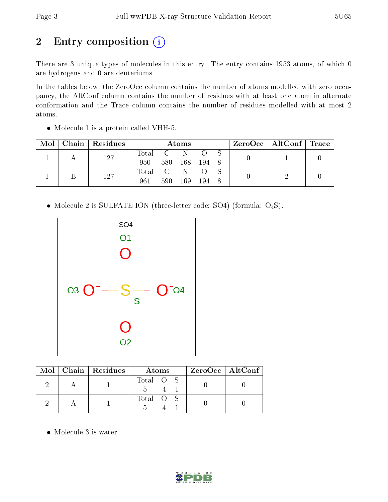# 2 Entry composition (i)

There are 3 unique types of molecules in this entry. The entry contains 1953 atoms, of which 0 are hydrogens and 0 are deuteriums.

In the tables below, the ZeroOcc column contains the number of atoms modelled with zero occupancy, the AltConf column contains the number of residues with at least one atom in alternate conformation and the Trace column contains the number of residues modelled with at most 2 atoms.

| Mol | Chain   Residues | $\rm{Atoms}$     |        |       |           |  |  | ZeroOcc   AltConf   Trace |  |
|-----|------------------|------------------|--------|-------|-----------|--|--|---------------------------|--|
|     | 127              | $\mathrm{Total}$ | $-C$ . |       |           |  |  |                           |  |
|     |                  | 950              | 580    | - 168 | - 194 - 8 |  |  |                           |  |
|     | 127              | Total C          |        | -N-   |           |  |  |                           |  |
|     |                  | 961              | 590    | 169   | -194      |  |  |                           |  |

Molecule 1 is a protein called VHH-5.

• Molecule 2 is SULFATE ION (three-letter code: SO4) (formula:  $O_4S$ ).



|  | $Mol$   Chain   Residues | Atoms     | ZeroOcc   AltConf |
|--|--------------------------|-----------|-------------------|
|  |                          | Total O S |                   |
|  |                          | Total O S |                   |

Molecule 3 is water.

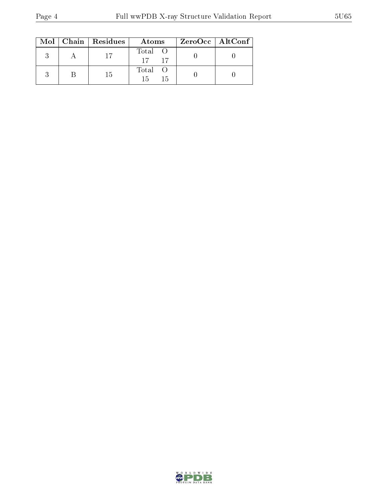|  | $\text{Mol}$   Chain   Residues | Atoms                | $\rm ZeroOcc \mid AltConf$ |  |
|--|---------------------------------|----------------------|----------------------------|--|
|  |                                 | Total O<br>$17 - 17$ |                            |  |
|  | -15                             | Total O<br>15<br>15  |                            |  |

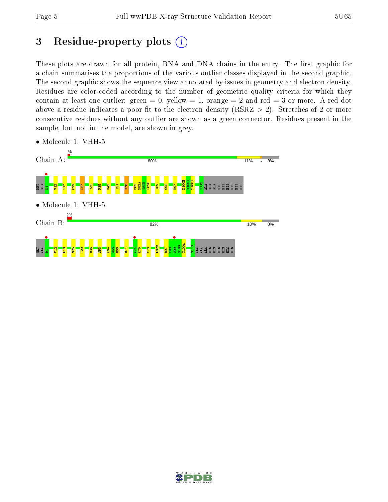# 3 Residue-property plots  $(i)$

These plots are drawn for all protein, RNA and DNA chains in the entry. The first graphic for a chain summarises the proportions of the various outlier classes displayed in the second graphic. The second graphic shows the sequence view annotated by issues in geometry and electron density. Residues are color-coded according to the number of geometric quality criteria for which they contain at least one outlier: green  $= 0$ , yellow  $= 1$ , orange  $= 2$  and red  $= 3$  or more. A red dot above a residue indicates a poor fit to the electron density (RSRZ  $> 2$ ). Stretches of 2 or more consecutive residues without any outlier are shown as a green connector. Residues present in the sample, but not in the model, are shown in grey.



• Molecule 1: VHH-5

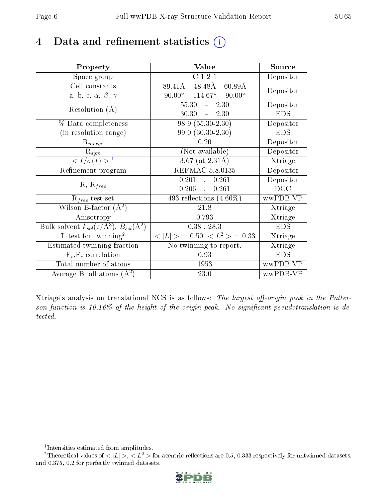# 4 Data and refinement statistics  $(i)$

| Property                                                                | Value                                            | Source     |
|-------------------------------------------------------------------------|--------------------------------------------------|------------|
| Space group                                                             | C 1 2 1                                          | Depositor  |
| Cell constants                                                          | 89.41Å<br>48.48Å<br>$60.89\text{\AA}$            | Depositor  |
| a, b, c, $\alpha$ , $\beta$ , $\gamma$                                  | $90.00^{\circ}$ $114.67^{\circ}$ $90.00^{\circ}$ |            |
| Resolution $(A)$                                                        | $55.30 - 2.30$                                   | Depositor  |
|                                                                         | $30.30 - 2.30$                                   | <b>EDS</b> |
| % Data completeness                                                     | $98.9(55.30-2.30)$                               | Depositor  |
| (in resolution range)                                                   | $99.0 (30.30 - 2.30)$                            | <b>EDS</b> |
| $R_{merge}$                                                             | 0.20                                             | Depositor  |
| $\mathrm{R}_{sym}$                                                      | (Not available)                                  | Depositor  |
| $\langle I/\sigma(I) \rangle^{-1}$                                      | $3.67$ (at $2.31\text{\AA}$ )                    | Xtriage    |
| Refinement program                                                      | <b>REFMAC 5.8.0135</b>                           | Depositor  |
|                                                                         | 0.201,<br>0.261                                  | Depositor  |
| $R, R_{free}$                                                           | $0.206$ ,<br>0.261                               | DCC        |
| $R_{free}$ test set                                                     | 493 reflections $(4.66\%)$                       | wwPDB-VP   |
| Wilson B-factor $(\AA^2)$                                               | 21.8                                             | Xtriage    |
| Anisotropy                                                              | 0.793                                            | Xtriage    |
| Bulk solvent $k_{sol}(\mathrm{e}/\mathrm{A}^3),\,B_{sol}(\mathrm{A}^2)$ | $0.38$ , 28.3                                    | <b>EDS</b> |
| L-test for $\mathrm{twinning}^2$                                        | $< L >$ = 0.50, $< L^2 >$ = 0.33                 | Xtriage    |
| Estimated twinning fraction                                             | No twinning to report.                           | Xtriage    |
| $F_o, F_c$ correlation                                                  | 0.93                                             | <b>EDS</b> |
| Total number of atoms                                                   | 1953                                             | wwPDB-VP   |
| Average B, all atoms $(A^2)$                                            | 23.0                                             | wwPDB-VP   |

Xtriage's analysis on translational NCS is as follows: The largest off-origin peak in the Patterson function is  $10.16\%$  of the height of the origin peak. No significant pseudotranslation is detected.

<sup>&</sup>lt;sup>2</sup>Theoretical values of  $\langle |L| \rangle$ ,  $\langle L^2 \rangle$  for acentric reflections are 0.5, 0.333 respectively for untwinned datasets, and 0.375, 0.2 for perfectly twinned datasets.



<span id="page-5-1"></span><span id="page-5-0"></span><sup>1</sup> Intensities estimated from amplitudes.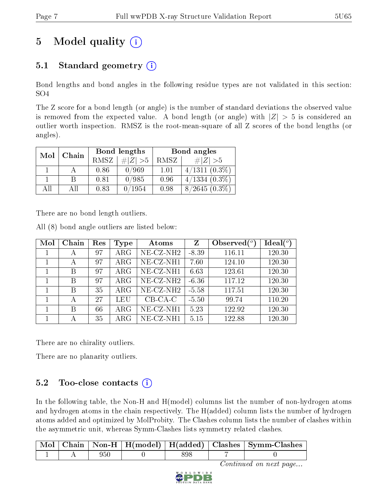# 5 Model quality  $(i)$

## 5.1 Standard geometry  $(i)$

Bond lengths and bond angles in the following residue types are not validated in this section: SO4

The Z score for a bond length (or angle) is the number of standard deviations the observed value is removed from the expected value. A bond length (or angle) with  $|Z| > 5$  is considered an outlier worth inspection. RMSZ is the root-mean-square of all Z scores of the bond lengths (or angles).

| Mol | Chain |             | Bond lengths | Bond angles |                 |  |
|-----|-------|-------------|--------------|-------------|-----------------|--|
|     |       | <b>RMSZ</b> | $\# Z  > 5$  | RMSZ        | # $ Z  > 5$     |  |
|     |       | 0.86        | 0/969        | 1.01        | $4/1311(0.3\%)$ |  |
|     | B     | 0.81        | 0/985        | 0.96        | $4/1334(0.3\%)$ |  |
| AĦ  | ΑH    | 0.83        | 0/1954       | 0.98        | $8/2645(0.3\%)$ |  |

There are no bond length outliers.

All (8) bond angle outliers are listed below:

| Mol | Chain | Res | Type        | Atoms                    | $\mathbf{Z}$ | Observed $(°)$ | Ideal $(°)$ |
|-----|-------|-----|-------------|--------------------------|--------------|----------------|-------------|
|     |       | 97  | $\rm{ARG}$  | NE-CZ-NH <sub>2</sub>    | $-8.39$      | 116.11         | 120.30      |
|     | А     | 97  | $\rm{ARG}$  | $NE- CZ-NH1$             | 7.60         | 124.10         | 120.30      |
|     | В     | 97  | $\rm{ARG}$  | NE-CZ-NH1                | 6.63         | 123.61         | 120.30      |
|     | В     | 97  | ARG         | NE-CZ-NH <sub>2</sub>    | $-6.36$      | 117.12         | 120.30      |
|     | В     | 35  | $\rm{ARG}$  | $NE$ -CZ-NH <sub>2</sub> | $-5.58$      | 117.51         | 120.30      |
|     | А     | 27  | LEU         | $CB-CA-C$                | $-5.50$      | 99.74          | 110.20      |
|     | В     | 66  | $\rm{ARG}$  | NE-CZ-NH1                | 5.23         | 122.92         | 120.30      |
|     |       | 35  | ${\rm ARG}$ | NE-CZ-NH1                | 5.15         | 122.88         | 120.30      |

There are no chirality outliers.

There are no planarity outliers.

## $5.2$  Too-close contacts  $(i)$

In the following table, the Non-H and H(model) columns list the number of non-hydrogen atoms and hydrogen atoms in the chain respectively. The H(added) column lists the number of hydrogen atoms added and optimized by MolProbity. The Clashes column lists the number of clashes within the asymmetric unit, whereas Symm-Clashes lists symmetry related clashes.

|  |     |     | Mol   Chain   Non-H   H(model)   H(added)   Clashes   Symm-Clashes |
|--|-----|-----|--------------------------------------------------------------------|
|  | 950 | 398 |                                                                    |

Continued on next page...

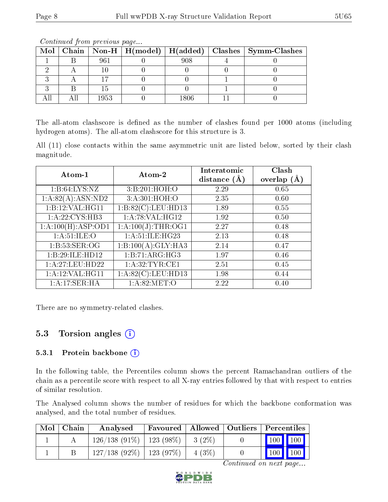|  |      |      | Mol   Chain   Non-H   H(model)   H(added)   Clashes   Symm-Clashes |
|--|------|------|--------------------------------------------------------------------|
|  | 961  | 908  |                                                                    |
|  |      |      |                                                                    |
|  |      |      |                                                                    |
|  |      |      |                                                                    |
|  | 1953 | 1806 |                                                                    |

Continued from previous page...

The all-atom clashscore is defined as the number of clashes found per 1000 atoms (including hydrogen atoms). The all-atom clashscore for this structure is 3.

All (11) close contacts within the same asymmetric unit are listed below, sorted by their clash magnitude.

| Atom-1             | Atom-2             | Interatomic<br>distance $(A)$ | Clash<br>overlap $(A)$ |
|--------------------|--------------------|-------------------------------|------------------------|
| 1: B:64: LYS:NZ    | 3: B:201:HOH:O     | 2.29                          | 0.65                   |
| 1:A:82(A):ASN:ND2  | 3:A:301:HOH:O      | 2.35                          | 0.60                   |
| 1:Bi:12:VAL:HG11   | 1:B:82(C):LEU:HD13 | 1.89                          | 0.55                   |
| 1: A:22: CYS:HB3   | 1: A:78: VAL:HG12  | 1.92                          | 0.50                   |
| 1:A:100(H):ASP:OD1 | 1:A:100(J):THR:OG1 | 2.27                          | 0.48                   |
| 1: A:51: ILE:O     | 1:A:51:ILE:HG23    | 2.13                          | 0.48                   |
| 1:B:53:SER:OG      | 1:B:100(A):GLY:HA3 | 2.14                          | 0.47                   |
| 1:B:29:ILE:HD12    | 1:BT1:ARG:HG3      | 1.97                          | 0.46                   |
| 1:A:27:LEU:HD22    | 1: A:32:TYR:CE1    | 2.51                          | 0.45                   |
| 1: A:12: VAL:HGI1  | 1:A:82(C):LEU:HD13 | 1.98                          | 0.44                   |
| 1:A:17:SER:HA      | 1: A:82: MET:O     | 2.22                          | 0.40                   |

There are no symmetry-related clashes.

### 5.3 Torsion angles (i)

#### 5.3.1 Protein backbone  $(i)$

In the following table, the Percentiles column shows the percent Ramachandran outliers of the chain as a percentile score with respect to all X-ray entries followed by that with respect to entries of similar resolution.

The Analysed column shows the number of residues for which the backbone conformation was analysed, and the total number of residues.

| $Mol$   Chain | Analysed                      | Favoured   Allowed   Outliers   Percentiles |           |                                 |  |
|---------------|-------------------------------|---------------------------------------------|-----------|---------------------------------|--|
|               | $126/138(91\%)$   123 (98\%)  |                                             | $-3(2\%)$ | 100 100                         |  |
|               | $127/138$ (92\%)   123 (97\%) |                                             | 4(3%)     | $\vert$ 100 $\vert$ 100 $\vert$ |  |

Continued on next page...

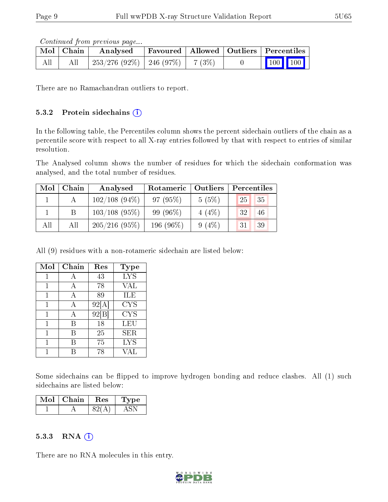Continued from previous page...

|     | Mol   Chain | Analysed                                |  | Favoured   Allowed   Outliers   Percentiles |  |
|-----|-------------|-----------------------------------------|--|---------------------------------------------|--|
| All |             | $253/276$ (92\%)   246 (97\%)   7 (3\%) |  | $\vert$ 100 100 $\vert$                     |  |

There are no Ramachandran outliers to report.

#### 5.3.2 Protein sidechains  $(i)$

In the following table, the Percentiles column shows the percent sidechain outliers of the chain as a percentile score with respect to all X-ray entries followed by that with respect to entries of similar resolution.

The Analysed column shows the number of residues for which the sidechain conformation was analysed, and the total number of residues.

| Mol | Chain | Analysed         | Rotameric   Outliers |          | Percentiles |
|-----|-------|------------------|----------------------|----------|-------------|
|     |       | $102/108$ (94\%) | 97 (95%)             | 5(5%)    | 35<br>25    |
|     |       | $103/108$ (95%)  | $99(96\%)$           | $4(4\%)$ | 32<br>46    |
| All | All   | 205/216(95%)     | 196 (96\%)           | $9(4\%)$ | 39<br>31    |

All (9) residues with a non-rotameric sidechain are listed below:

| Mol | Chain | Res   | Type       |
|-----|-------|-------|------------|
| 1   | А     | 43    | <b>LYS</b> |
|     |       | 78    | VAL        |
|     | А     | 89    | ILE        |
| 1   | А     | 92[A] | <b>CYS</b> |
| 1   | А     | 92[B] | <b>CYS</b> |
| 1   | В     | 18    | <b>LEU</b> |
|     | В     | 25    | <b>SER</b> |
|     | В     | 75    | <b>LYS</b> |
|     |       | 78    | VAL        |

Some sidechains can be flipped to improve hydrogen bonding and reduce clashes. All (1) such sidechains are listed below:

| Mol | Chain | <b>Res</b> | Type |
|-----|-------|------------|------|
|     |       |            |      |

#### 5.3.3 RNA (i)

There are no RNA molecules in this entry.

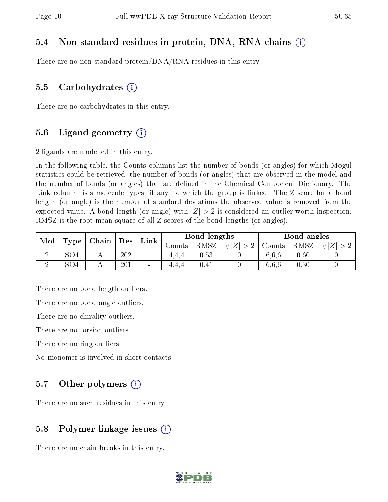#### 5.4 Non-standard residues in protein, DNA, RNA chains (i)

There are no non-standard protein/DNA/RNA residues in this entry.

#### 5.5 Carbohydrates  $(i)$

There are no carbohydrates in this entry.

#### 5.6 Ligand geometry  $(i)$

2 ligands are modelled in this entry.

In the following table, the Counts columns list the number of bonds (or angles) for which Mogul statistics could be retrieved, the number of bonds (or angles) that are observed in the model and the number of bonds (or angles) that are dened in the Chemical Component Dictionary. The Link column lists molecule types, if any, to which the group is linked. The Z score for a bond length (or angle) is the number of standard deviations the observed value is removed from the expected value. A bond length (or angle) with  $|Z| > 2$  is considered an outlier worth inspection. RMSZ is the root-mean-square of all Z scores of the bond lengths (or angles).

| Mol |                 | Chain | Res |                 |          | Bond lengths |                                  |        | Bond angles |   |
|-----|-----------------|-------|-----|-----------------|----------|--------------|----------------------------------|--------|-------------|---|
|     | Type            |       |     | Link            | Jounts - | RMSZ         | $\vert Z \vert$<br>#<br>$\sim$ 0 | Counts | RMSZ        | # |
|     | SO4             |       | 202 | $\sim$          | 4.4.4    | 0.53         |                                  | 6.6.6  | 0.60        |   |
|     | SO <sub>4</sub> |       | 201 | $\qquad \qquad$ | 4.4.4    | $0.41\,$     |                                  | 6.6.6  | 0.30        |   |

There are no bond length outliers.

There are no bond angle outliers.

There are no chirality outliers.

There are no torsion outliers.

There are no ring outliers.

No monomer is involved in short contacts.

#### 5.7 [O](https://www.wwpdb.org/validation/2017/XrayValidationReportHelp#nonstandard_residues_and_ligands)ther polymers  $(i)$

There are no such residues in this entry.

#### 5.8 Polymer linkage issues  $(i)$

There are no chain breaks in this entry.

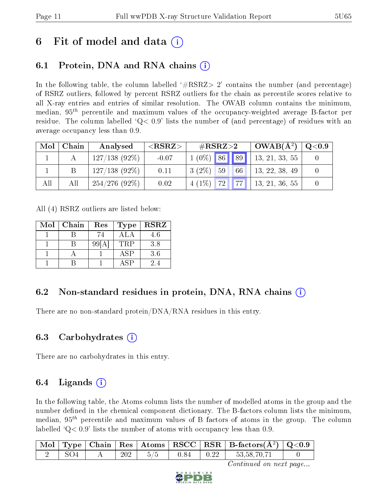## 6 Fit of model and data  $\left( \cdot \right)$

## 6.1 Protein, DNA and RNA chains (i)

In the following table, the column labelled  $#RSRZ>2'$  contains the number (and percentage) of RSRZ outliers, followed by percent RSRZ outliers for the chain as percentile scores relative to all X-ray entries and entries of similar resolution. The OWAB column contains the minimum, median,  $95<sup>th</sup>$  percentile and maximum values of the occupancy-weighted average B-factor per residue. The column labelled  $Q < 0.9$  lists the number of (and percentage) of residues with an average occupancy less than 0.9.

| Mol | Chain | Analysed        | ${ <\hspace{-1.5pt}{\mathrm{RSRZ}} \hspace{-1.5pt}>}$ | $\#\text{RSRZ}{>}2$ | $OWAB(A^2)$    | $\sim$ Q $<$ 0.9 |
|-----|-------|-----------------|-------------------------------------------------------|---------------------|----------------|------------------|
|     |       | $127/138(92\%)$ | $-0.07$                                               | $1(0\%)$ 86 89      | 13, 21, 33, 55 |                  |
|     |       | $127/138(92\%)$ | 0.11                                                  | $3(2\%)$ 59<br>66   | 13, 22, 38, 49 |                  |
| All | All   | $254/276(92\%)$ | 0.02                                                  | $4(1\%)$ 72 77      | 13, 21, 36, 55 |                  |

All (4) RSRZ outliers are listed below:

| Mol | Chain | Res  | <b>Type</b> | <b>RSRZ</b> |
|-----|-------|------|-------------|-------------|
|     |       | 74   | AL A        | 4.6         |
|     |       | 99[A | <b>TRP</b>  | 3.8         |
|     |       |      | <b>ASP</b>  | 3.6         |
|     |       |      | ASP         | 2.4         |

## 6.2 Non-standard residues in protein, DNA, RNA chains (i)

There are no non-standard protein/DNA/RNA residues in this entry.

### 6.3 Carbohydrates (i)

There are no carbohydrates in this entry.

## $6.4$  Ligands  $(i)$

In the following table, the Atoms column lists the number of modelled atoms in the group and the number defined in the chemical component dictionary. The B-factors column lists the minimum, median,  $95<sup>th</sup>$  percentile and maximum values of B factors of atoms in the group. The column labelled  $Q< 0.9$  lists the number of atoms with occupancy less than 0.9.

|                 |     |     |      |              | $\mid$ Mol $\mid$ Type $\mid$ Chain $\mid$ Res $\mid$ Atoms $\mid$ RSCC $\mid$ RSR $\mid$ B-factors(A <sup>2</sup> ) $\mid$ Q<0.9 |  |
|-----------------|-----|-----|------|--------------|-----------------------------------------------------------------------------------------------------------------------------------|--|
| SO <sub>4</sub> | 202 | 5/5 | 0.84 | $\perp$ 0.22 | 53,58,70,71                                                                                                                       |  |

Continued on next page...